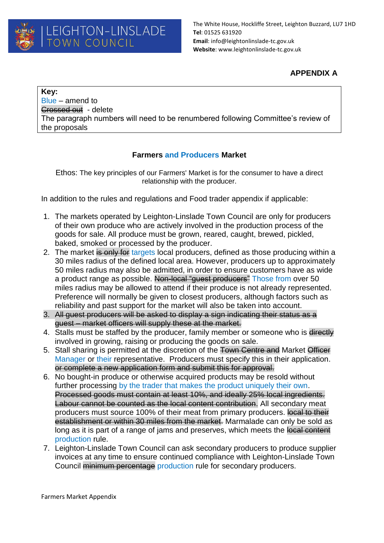## **APPENDIX A**

**Key:** Blue – amend to Crossed out - delete The paragraph numbers will need to be renumbered following Committee's review of the proposals

## **Farmers and Producers Market**

Ethos: The key principles of our Farmers' Market is for the consumer to have a direct relationship with the producer.

In addition to the rules and regulations and Food trader appendix if applicable:

- 1. The markets operated by Leighton-Linslade Town Council are only for producers of their own produce who are actively involved in the production process of the goods for sale. All produce must be grown, reared, caught, brewed, pickled, baked, smoked or processed by the producer.
- 2. The market is only for targets local producers, defined as those producing within a 30 miles radius of the defined local area. However, producers up to approximately 50 miles radius may also be admitted, in order to ensure customers have as wide a product range as possible. Non-local "guest producers" Those from over 50 miles radius may be allowed to attend if their produce is not already represented. Preference will normally be given to closest producers, although factors such as reliability and past support for the market will also be taken into account.
- 3. All guest producers will be asked to display a sign indicating their status as a guest – market officers will supply these at the market.
- 4. Stalls must be staffed by the producer, family member or someone who is directly involved in growing, raising or producing the goods on sale.
- 5. Stall sharing is permitted at the discretion of the Town Centre and Market Officer Manager or their representative. Producers must specify this in their application. or complete a new application form and submit this for approval.
- 6. No bought-in produce or otherwise acquired products may be resold without further processing by the trader that makes the product uniquely their own. Processed goods must contain at least 10%, and ideally 25% local ingredients. Labour cannot be counted as the local content contribution. All secondary meat producers must source 100% of their meat from primary producers. local to their establishment or within 30 miles from the market. Marmalade can only be sold as long as it is part of a range of jams and preserves, which meets the local content production rule.
- 7. Leighton-Linslade Town Council can ask secondary producers to produce supplier invoices at any time to ensure continued compliance with Leighton-Linslade Town Council minimum percentage production rule for secondary producers.

Farmers Market Appendix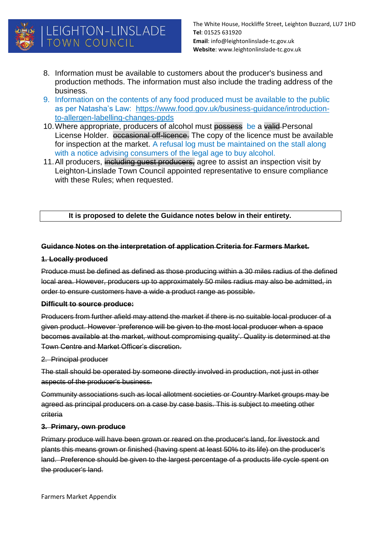

# LEIGHTON-LINSLADE TOWN COUNCIL

The White House, Hockliffe Street, Leighton Buzzard, LU7 1HD **Tel**: 01525 631920 **Email**: info@leightonlinslade-tc.gov.uk **Website**: www.leightonlinslade-tc.gov.uk

- 8. Information must be available to customers about the producer's business and production methods. The information must also include the trading address of the business.
- 9. Information on the contents of any food produced must be available to the public as per Natasha's Law: [https://www.food.gov.uk/business-guidance/introduction](https://www.food.gov.uk/business-guidance/introduction-to-allergen-labelling-changes-ppds)[to-allergen-labelling-changes-ppds](https://www.food.gov.uk/business-guidance/introduction-to-allergen-labelling-changes-ppds)
- 10. Where appropriate, producers of alcohol must possess be a valid Personal License Holder. occasional off-licence. The copy of the licence must be available for inspection at the market. A refusal log must be maintained on the stall along with a notice advising consumers of the legal age to buy alcohol.
- 11. All producers, including guest producers, agree to assist an inspection visit by Leighton-Linslade Town Council appointed representative to ensure compliance with these Rules; when requested.

#### **It is proposed to delete the Guidance notes below in their entirety.**

### **Guidance Notes on the interpretation of application Criteria for Farmers Market.**

#### **1. Locally produced**

Produce must be defined as defined as those producing within a 30 miles radius of the defined local area. However, producers up to approximately 50 miles radius may also be admitted, in order to ensure customers have a wide a product range as possible.

#### **Difficult to source produce:**

Producers from further afield may attend the market if there is no suitable local producer of a given product. However 'preference will be given to the most local producer when a space becomes available at the market, without compromising quality'. Quality is determined at the Town Centre and Market Officer's discretion.

#### 2. Principal producer

The stall should be operated by someone directly involved in production, not just in other aspects of the producer's business.

Community associations such as local allotment societies or Country Market groups may be agreed as principal producers on a case by case basis. This is subject to meeting other criteria

#### **3. Primary, own produce**

Primary produce will have been grown or reared on the producer's land, for livestock and plants this means grown or finished (having spent at least 50% to its life) on the producer's land. Preference should be given to the largest percentage of a products life cycle spent on the producer's land.